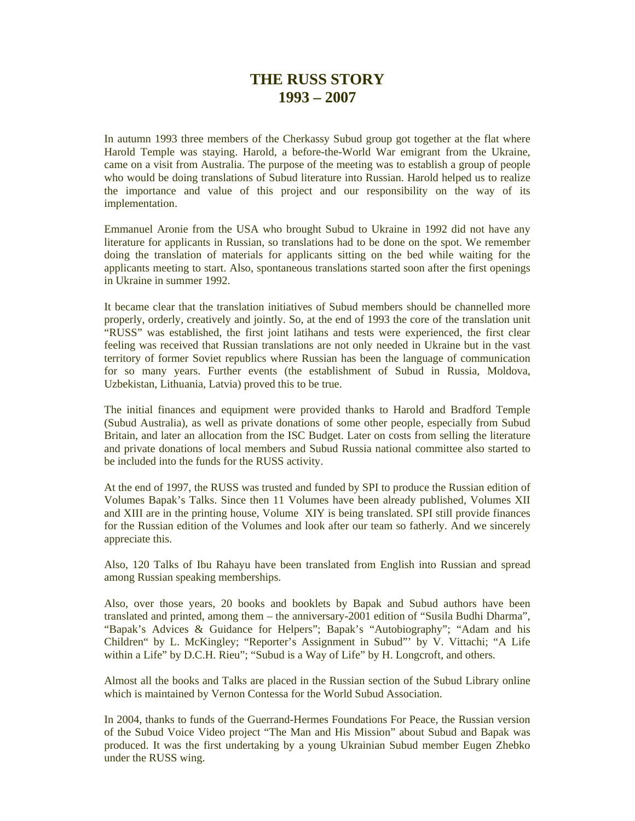## **THE RUSS STORY 1993 – 2007**

In autumn 1993 three members of the Cherkassy Subud group got together at the flat where Harold Temple was staying. Harold, a before-the-World War emigrant from the Ukraine, came on a visit from Australia. The purpose of the meeting was to establish a group of people who would be doing translations of Subud literature into Russian. Harold helped us to realize the importance and value of this project and our responsibility on the way of its implementation.

Emmanuel Aronie from the USA who brought Subud to Ukraine in 1992 did not have any literature for applicants in Russian, so translations had to be done on the spot. We remember doing the translation of materials for applicants sitting on the bed while waiting for the applicants meeting to start. Also, spontaneous translations started soon after the first openings in Ukraine in summer 1992.

It became clear that the translation initiatives of Subud members should be channelled more properly, orderly, creatively and jointly. So, at the end of 1993 the core of the translation unit "RUSS" was established, the first joint latihans and tests were experienced, the first clear feeling was received that Russian translations are not only needed in Ukraine but in the vast territory of former Soviet republics where Russian has been the language of communication for so many years. Further events (the establishment of Subud in Russia, Moldova, Uzbekistan, Lithuania, Latvia) proved this to be true.

The initial finances and equipment were provided thanks to Harold and Bradford Temple (Subud Australia), as well as private donations of some other people, especially from Subud Britain, and later an allocation from the ISC Budget. Later on costs from selling the literature and private donations of local members and Subud Russia national committee also started to be included into the funds for the RUSS activity.

At the end of 1997, the RUSS was trusted and funded by SPI to produce the Russian edition of Volumes Bapak's Talks. Since then 11 Volumes have been already published, Volumes XII and XIII are in the printing house, Volume XIY is being translated. SPI still provide finances for the Russian edition of the Volumes and look after our team so fatherly. And we sincerely appreciate this.

Also, 120 Talks of Ibu Rahayu have been translated from English into Russian and spread among Russian speaking memberships.

Also, over those years, 20 books and booklets by Bapak and Subud authors have been translated and printed, among them – the anniversary-2001 edition of "Susila Budhi Dharma", "Bapak's Advices & Guidance for Helpers"; Bapak's "Autobiography"; "Adam and his Children" by L. McKingley; "Reporter's Assignment in Subud"' by V. Vittachi; "A Life within a Life" by D.C.H. Rieu"; "Subud is a Way of Life" by H. Longcroft, and others.

Almost all the books and Talks are placed in the Russian section of the Subud Library online which is maintained by Vernon Contessa for the World Subud Association.

In 2004, thanks to funds of the Guerrand-Hermes Foundations For Peace, the Russian version of the Subud Voice Video project "The Man and His Mission" about Subud and Bapak was produced. It was the first undertaking by a young Ukrainian Subud member Eugen Zhebko under the RUSS wing.